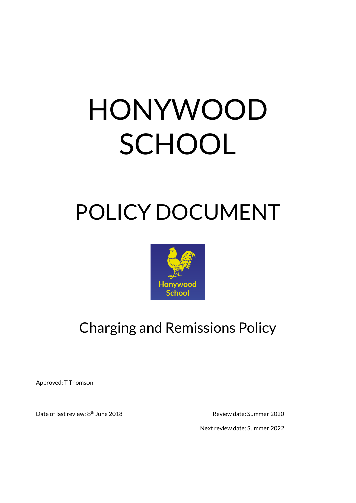# HONYWOOD **SCHOOL**

## POLICY DOCUMENT



### Charging and Remissions Policy

Approved: T Thomson

Date of last review: 8<sup>th</sup> June 2018

Review date: Summer 2020

Next review date: Summer 2022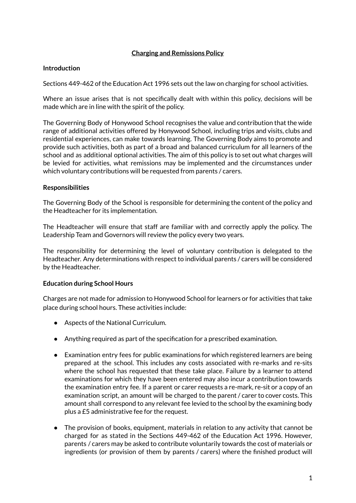#### **Charging and Remissions Policy**

#### **Introduction**

Sections 449-462 of the Education Act 1996 sets out the law on charging for school activities.

Where an issue arises that is not specifically dealt with within this policy, decisions will be made which are in line with the spirit of the policy.

The Governing Body of Honywood School recognises the value and contribution that the wide range of additional activities offered by Honywood School, including trips and visits, clubs and residential experiences, can make towards learning. The Governing Body aims to promote and provide such activities, both as part of a broad and balanced curriculum for all learners of the school and as additional optional activities. The aim of this policy is to set out what charges will be levied for activities, what remissions may be implemented and the circumstances under which voluntary contributions will be requested from parents / carers.

#### **Responsibilities**

The Governing Body of the School is responsible for determining the content of the policy and the Headteacher for its implementation.

The Headteacher will ensure that staff are familiar with and correctly apply the policy. The Leadership Team and Governors will review the policy every two years.

The responsibility for determining the level of voluntary contribution is delegated to the Headteacher. Any determinations with respect to individual parents / carers will be considered by the Headteacher.

#### **Education during School Hours**

Charges are not made for admission to Honywood School for learners or for activities that take place during school hours. These activities include:

- Aspects of the National Curriculum.
- Anything required as part of the specification for a prescribed examination.
- Examination entry fees for public examinations for which registered learners are being prepared at the school. This includes any costs associated with re-marks and re-sits where the school has requested that these take place. Failure by a learner to attend examinations for which they have been entered may also incur a contribution towards the examination entry fee. If a parent or carer requests a re-mark, re-sit or a copy of an examination script, an amount will be charged to the parent / carer to cover costs. This amount shall correspond to any relevant fee levied to the school by the examining body plus a £5 administrative fee for the request.
- The provision of books, equipment, materials in relation to any activity that cannot be charged for as stated in the Sections 449-462 of the Education Act 1996. However, parents / carers may be asked to contribute voluntarily towards the cost of materials or ingredients (or provision of them by parents / carers) where the finished product will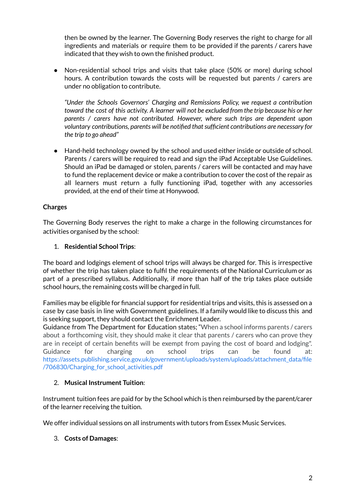then be owned by the learner. The Governing Body reserves the right to charge for all ingredients and materials or require them to be provided if the parents / carers have indicated that they wish to own the finished product.

● Non-residential school trips and visits that take place (50% or more) during school hours. A contribution towards the costs will be requested but parents / carers are under no obligation to contribute.

*"Under the Schools Governors' Charging and Remissions Policy, we request a contribution* toward the cost of this activity. A learner will not be excluded from the trip because his or her *parents / carers have not contributed. However, where such trips are dependent upon voluntary contributions, parents will be notified thatsufficient contributions are necessary for the trip to go ahead"*

● Hand-held technology owned by the school and used either inside or outside of school. Parents / carers will be required to read and sign the iPad Acceptable Use Guidelines. Should an iPad be damaged or stolen, parents / carers will be contacted and may have to fund the replacement device or make a contribution to cover the cost of the repair as all learners must return a fully functioning iPad, together with any accessories provided, at the end of their time at Honywood.

#### **Charges**

The Governing Body reserves the right to make a charge in the following circumstances for activities organised by the school:

#### 1. **Residential School Trips**:

The board and lodgings element of school trips will always be charged for. This is irrespective of whether the trip has taken place to fulfil the requirements of the National Curriculum or as part of a prescribed syllabus. Additionally, if more than half of the trip takes place outside school hours, the remaining costs will be charged in full.

Families may be eligible for financial support for residential trips and visits, this is assessed on a case by case basis in line with Government guidelines. If a family would like to discuss this and is seeking support, they should contact the Enrichment Leader.

Guidance from The Department for Education states; "When a school informs parents / carers about a forthcoming visit, they should make it clear that parents / carers who can prove they are in receipt of certain benefits will be exempt from paying the cost of board and lodging". Guidance for charging on school trips can be found at[:](https://assets.publishing.service.gov.uk/government/uploads/system/uploads/attachment_data/file/706830/Charging_for_school_activities.pdf) [https://assets.publishing.service.gov.uk/government/uploads/system/uploads/attachment\\_data/file](https://assets.publishing.service.gov.uk/government/uploads/system/uploads/attachment_data/file/706830/Charging_for_school_activities.pdf) [/706830/Charging\\_for\\_school\\_activities.pdf](https://assets.publishing.service.gov.uk/government/uploads/system/uploads/attachment_data/file/706830/Charging_for_school_activities.pdf)

#### 2. **Musical Instrument Tuition**:

Instrument tuition fees are paid for by the School which is then reimbursed by the parent/carer of the learner receiving the tuition.

We offer individual sessions on all instruments with tutors from Essex Music Services.

#### 3. **Costs of Damages**: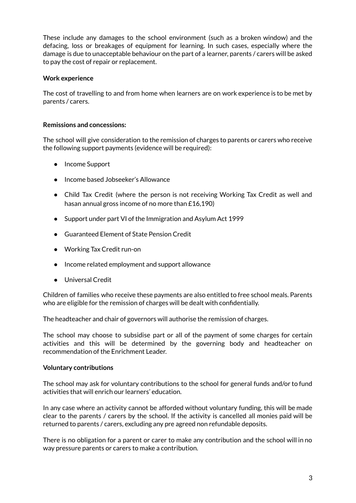These include any damages to the school environment (such as a broken window) and the defacing, loss or breakages of equipment for learning. In such cases, especially where the damage is due to unacceptable behaviour on the part of a learner, parents / carers will be asked to pay the cost of repair or replacement.

#### **Work experience**

The cost of travelling to and from home when learners are on work experience is to be met by parents / carers.

#### **Remissions and concessions:**

The school will give consideration to the remission of charges to parents or carers who receive the following support payments (evidence will be required):

- Income Support
- Income based Jobseeker's Allowance
- Child Tax Credit (where the person is not receiving Working Tax Credit as well and hasan annual gross income of no more than £16,190)
- Support under part VI of the Immigration and Asylum Act 1999
- Guaranteed Element of State Pension Credit
- Working Tax Credit run-on
- Income related employment and support allowance
- *●* Universal Credit

Children of families who receive these payments are also entitled to free school meals. Parents who are eligible for the remission of charges will be dealt with confidentially.

The headteacher and chair of governors will authorise the remission of charges.

The school may choose to subsidise part or all of the payment of some charges for certain activities and this will be determined by the governing body and headteacher on recommendation of the Enrichment Leader.

#### **Voluntary contributions**

The school may ask for voluntary contributions to the school for general funds and/or to fund activities that will enrich our learners' education.

In any case where an activity cannot be afforded without voluntary funding, this will be made clear to the parents / carers by the school. If the activity is cancelled all monies paid will be returned to parents / carers, excluding any pre agreed non refundable deposits.

There is no obligation for a parent or carer to make any contribution and the school will in no way pressure parents or carers to make a contribution.